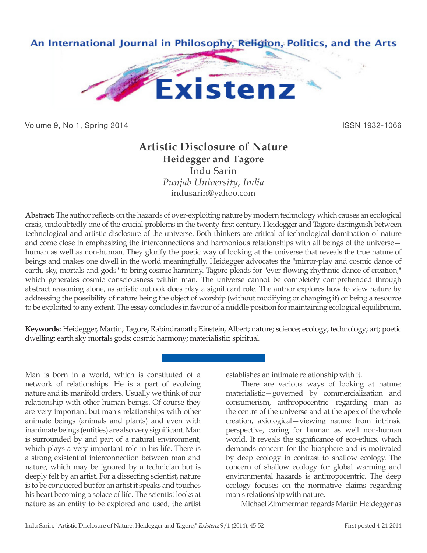

Volume 9, No 1, Spring 2014 **ISSN 1932-1066** 

## **Artistic Disclosure of Nature Heidegger and Tagore** Indu Sarin

*Punjab University, India* indusarin@yahoo.com

**Abstract:** The author reflects on the hazards of over-exploiting nature by modern technology which causes an ecological crisis, undoubtedly one of the crucial problems in the twenty-first century. Heidegger and Tagore distinguish between technological and artistic disclosure of the universe. Both thinkers are critical of technological domination of nature and come close in emphasizing the interconnections and harmonious relationships with all beings of the universe human as well as non-human. They glorify the poetic way of looking at the universe that reveals the true nature of beings and makes one dwell in the world meaningfully. Heidegger advocates the "mirror-play and cosmic dance of earth, sky, mortals and gods" to bring cosmic harmony. Tagore pleads for "ever-flowing rhythmic dance of creation," which generates cosmic consciousness within man. The universe cannot be completely comprehended through abstract reasoning alone, as artistic outlook does play a significant role. The author explores how to view nature by addressing the possibility of nature being the object of worship (without modifying or changing it) or being a resource to be exploited to any extent. The essay concludes in favour of a middle position for maintaining ecological equilibrium.

**Keywords:** Heidegger, Martin; Tagore, Rabindranath; Einstein, Albert; nature; science; ecology; technology; art; poetic dwelling; earth sky mortals gods; cosmic harmony; materialistic; spiritual.

Man is born in a world, which is constituted of a network of relationships. He is a part of evolving nature and its manifold orders. Usually we think of our relationship with other human beings. Of course they are very important but man's relationships with other animate beings (animals and plants) and even with inanimate beings (entities) are also very significant. Man is surrounded by and part of a natural environment, which plays a very important role in his life. There is a strong existential interconnection between man and nature, which may be ignored by a technician but is deeply felt by an artist. For a dissecting scientist, nature is to be conquered but for an artist it speaks and touches his heart becoming a solace of life. The scientist looks at nature as an entity to be explored and used; the artist establishes an intimate relationship with it.

There are various ways of looking at nature: materialistic—governed by commercialization and consumerism, anthropocentric—regarding man as the centre of the universe and at the apex of the whole creation, axiological—viewing nature from intrinsic perspective, caring for human as well non-human world. It reveals the significance of eco-ethics, which demands concern for the biosphere and is motivated by deep ecology in contrast to shallow ecology. The concern of shallow ecology for global warming and environmental hazards is anthropocentric. The deep ecology focuses on the normative claims regarding man's relationship with nature.

Michael Zimmerman regards Martin Heidegger as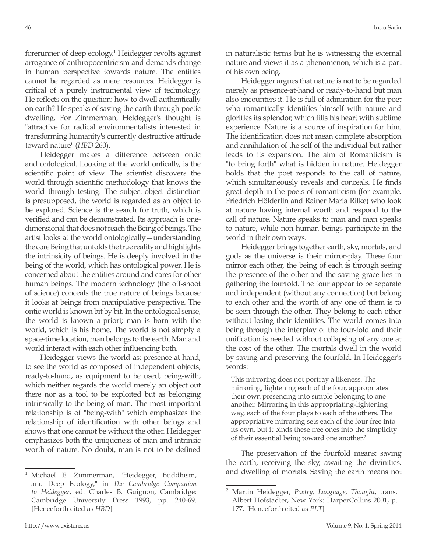forerunner of deep ecology.1 Heidegger revolts against arrogance of anthropocentricism and demands change in human perspective towards nature. The entities cannot be regarded as mere resources. Heidegger is critical of a purely instrumental view of technology. He reflects on the question: how to dwell authentically on earth? He speaks of saving the earth through poetic dwelling. For Zimmerman, Heidegger's thought is "attractive for radical environmentalists interested in transforming humanity's currently destructive attitude toward nature" (*HBD* 260).

Heidegger makes a difference between ontic and ontological. Looking at the world ontically, is the scientific point of view. The scientist discovers the world through scientific methodology that knows the world through testing. The subject-object distinction is presupposed, the world is regarded as an object to be explored. Science is the search for truth, which is verified and can be demonstrated. Its approach is onedimensional that does not reach the Being of beings. The artist looks at the world ontologically—understanding the core Being that unfolds the true reality and highlights the intrinsicity of beings. He is deeply involved in the being of the world, which has ontological power. He is concerned about the entities around and cares for other human beings. The modern technology (the off-shoot of science) conceals the true nature of beings because it looks at beings from manipulative perspective. The ontic world is known bit by bit. In the ontological sense, the world is known a-priori; man is born with the world, which is his home. The world is not simply a space-time location, man belongs to the earth. Man and world interact with each other influencing both.

Heidegger views the world as: presence-at-hand, to see the world as composed of independent objects; ready-to-hand, as equipment to be used; being-with, which neither regards the world merely an object out there nor as a tool to be exploited but as belonging intrinsically to the being of man. The most important relationship is of "being-with" which emphasizes the relationship of identification with other beings and shows that one cannot be without the other. Heidegger emphasizes both the uniqueness of man and intrinsic worth of nature. No doubt, man is not to be defined

in naturalistic terms but he is witnessing the external nature and views it as a phenomenon, which is a part of his own being.

Heidegger argues that nature is not to be regarded merely as presence-at-hand or ready-to-hand but man also encounters it. He is full of admiration for the poet who romantically identifies himself with nature and glorifies its splendor, which fills his heart with sublime experience. Nature is a source of inspiration for him. The identification does not mean complete absorption and annihilation of the self of the individual but rather leads to its expansion. The aim of Romanticism is "to bring forth" what is hidden in nature. Heidegger holds that the poet responds to the call of nature, which simultaneously reveals and conceals. He finds great depth in the poets of romanticism (for example, Friedrich Hölderlin and Rainer Maria Rilke) who look at nature having internal worth and respond to the call of nature. Nature speaks to man and man speaks to nature, while non-human beings participate in the world in their own ways.

Heidegger brings together earth, sky, mortals, and gods as the universe is their mirror-play. These four mirror each other, the being of each is through seeing the presence of the other and the saving grace lies in gathering the fourfold. The four appear to be separate and independent (without any connection) but belong to each other and the worth of any one of them is to be seen through the other. They belong to each other without losing their identities. The world comes into being through the interplay of the four-fold and their unification is needed without collapsing of any one at the cost of the other. The mortals dwell in the world by saving and preserving the fourfold. In Heidegger's words:

This mirroring does not portray a likeness. The mirroring, lightening each of the four, appropriates their own presencing into simple belonging to one another. Mirroring in this appropriating-lightening way, each of the four plays to each of the others. The appropriative mirroring sets each of the four free into its own, but it binds these free ones into the simplicity of their essential being toward one another.<sup>2</sup>

The preservation of the fourfold means: saving the earth, receiving the sky, awaiting the divinities, and dwelling of mortals. Saving the earth means not

<sup>1</sup> Michael E. Zimmerman, "Heidegger, Buddhism, and Deep Ecology," in *The Cambridge Companion to Heidegger*, ed. Charles B. Guignon, Cambridge: Cambridge University Press 1993, pp. 240-69. [Henceforth cited as *HBD*]

<sup>2</sup> Martin Heidegger, *Poetry, Language, Thought*, trans. Albert Hofstadter, New York: HarperCollins 2001, p. 177. [Henceforth cited as *PLT*]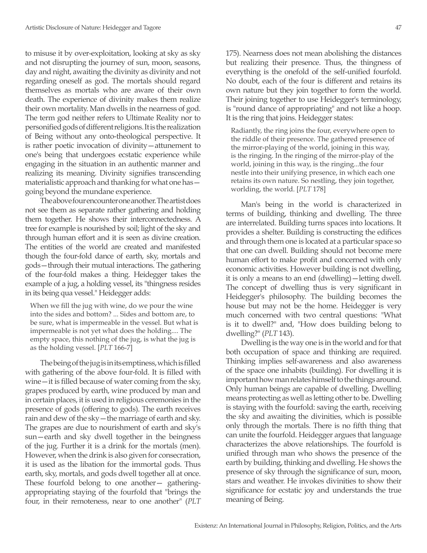to misuse it by over-exploitation, looking at sky as sky and not disrupting the journey of sun, moon, seasons, day and night, awaiting the divinity as divinity and not regarding oneself as god. The mortals should regard themselves as mortals who are aware of their own death. The experience of divinity makes them realize their own mortality. Man dwells in the nearness of god. The term god neither refers to Ultimate Reality nor to personified gods of different religions. It is the realization of Being without any onto-theological perspective. It is rather poetic invocation of divinity—attunement to one's being that undergoes ecstatic experience while engaging in the situation in an authentic manner and realizing its meaning. Divinity signifies transcending materialistic approach and thanking for what one has going beyond the mundane experience.

The above four encounter one another. The artist does not see them as separate rather gathering and holding them together. He shows their interconnectedness. A tree for example is nourished by soil; light of the sky and through human effort and it is seen as divine creation. The entities of the world are created and manifested though the four-fold dance of earth, sky, mortals and gods—through their mutual interactions. The gathering of the four-fold makes a thing. Heidegger takes the example of a jug, a holding vessel, its "thingness resides in its being qua vessel." Heidegger adds:

When we fill the jug with wine, do we pour the wine into the sides and bottom? ... Sides and bottom are, to be sure, what is impermeable in the vessel. But what is impermeable is not yet what does the holding.... The empty space, this nothing of the jug, is what the jug is as the holding vessel. [*PLT* 166-7]

The being of the jug is in its emptiness, which is filled with gathering of the above four-fold. It is filled with wine—it is filled because of water coming from the sky, grapes produced by earth, wine produced by man and in certain places, it is used in religious ceremonies in the presence of gods (offering to gods). The earth receives rain and dew of the sky—the marriage of earth and sky. The grapes are due to nourishment of earth and sky's sun—earth and sky dwell together in the beingness of the jug. Further it is a drink for the mortals (men). However, when the drink is also given for consecration, it is used as the libation for the immortal gods. Thus earth, sky, mortals, and gods dwell together all at once. These fourfold belong to one another— gatheringappropriating staying of the fourfold that "brings the four, in their remoteness, near to one another" (*PLT* 175). Nearness does not mean abolishing the distances but realizing their presence. Thus, the thingness of everything is the onefold of the self-unified fourfold. No doubt, each of the four is different and retains its own nature but they join together to form the world. Their joining together to use Heidegger's terminology, is "round dance of appropriating" and not like a hoop. It is the ring that joins. Heidegger states:

Radiantly, the ring joins the four, everywhere open to the riddle of their presence. The gathered presence of the mirror-playing of the world, joining in this way, is the ringing. In the ringing of the mirror-play of the world, joining in this way, is the ringing...the four nestle into their unifying presence, in which each one retains its own nature. So nestling, they join together, worlding, the world. [*PLT* 178]

Man's being in the world is characterized in terms of building, thinking and dwelling. The three are interrelated. Building turns spaces into locations. It provides a shelter. Building is constructing the edifices and through them one is located at a particular space so that one can dwell. Building should not become mere human effort to make profit and concerned with only economic activities. However building is not dwelling, it is only a means to an end (dwelling)—letting dwell. The concept of dwelling thus is very significant in Heidegger's philosophy. The building becomes the house but may not be the home. Heidegger is very much concerned with two central questions: "What is it to dwell?" and, "How does building belong to dwelling?" (*PLT* 143).

Dwelling is the way one is in the world and for that both occupation of space and thinking are required. Thinking implies self-awareness and also awareness of the space one inhabits (building). For dwelling it is important how man relates himself to the things around. Only human beings are capable of dwelling. Dwelling means protecting as well as letting other to be. Dwelling is staying with the fourfold: saving the earth, receiving the sky and awaiting the divinities, which is possible only through the mortals. There is no fifth thing that can unite the fourfold. Heidegger argues that language characterizes the above relationships. The fourfold is unified through man who shows the presence of the earth by building, thinking and dwelling. He shows the presence of sky through the significance of sun, moon, stars and weather. He invokes divinities to show their significance for ecstatic joy and understands the true meaning of Being.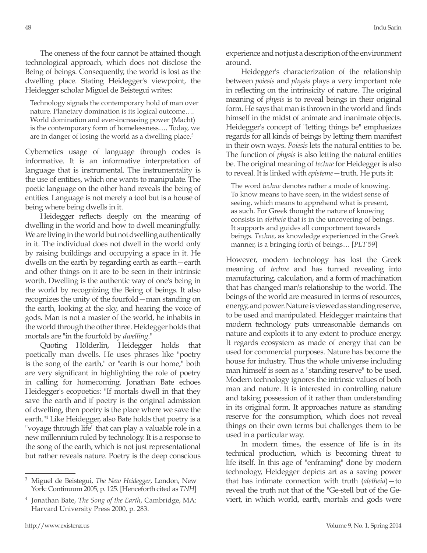The oneness of the four cannot be attained though technological approach, which does not disclose the Being of beings. Consequently, the world is lost as the dwelling place. Stating Heidegger's viewpoint, the Heidegger scholar Miguel de Beistegui writes:

Technology signals the contemporary hold of man over nature. Planetary domination is its logical outcome…. World domination and ever-increasing power (Macht) is the contemporary form of homelessness…. Today, we are in danger of losing the world as a dwelling place.<sup>3</sup>

Cybernetics usage of language through codes is informative. It is an informative interpretation of language that is instrumental. The instrumentality is the use of entities, which one wants to manipulate. The poetic language on the other hand reveals the being of entities. Language is not merely a tool but is a house of being where being dwells in it.

Heidegger reflects deeply on the meaning of dwelling in the world and how to dwell meaningfully. We are living in the world but not dwelling authentically in it. The individual does not dwell in the world only by raising buildings and occupying a space in it. He dwells on the earth by regarding earth as earth—earth and other things on it are to be seen in their intrinsic worth. Dwelling is the authentic way of one's being in the world by recognizing the Being of beings. It also recognizes the unity of the fourfold—man standing on the earth, looking at the sky, and hearing the voice of gods. Man is not a master of the world, he inhabits in the world through the other three. Heidegger holds that mortals are "in the fourfold by *dwelling*."

Quoting Hölderlin, Heidegger holds that poetically man dwells. He uses phrases like "poetry is the song of the earth," or "earth is our home," both are very significant in highlighting the role of poetry in calling for homecoming. Jonathan Bate echoes Heidegger's ecopoetics: "If mortals dwell in that they save the earth and if poetry is the original admission of dwelling, then poetry is the place where we save the earth."<sup>4</sup> Like Heidegger, also Bate holds that poetry is a "voyage through life" that can play a valuable role in a new millennium ruled by technology. It is a response to the song of the earth, which is not just representational but rather reveals nature. Poetry is the deep conscious

experience and not just a description of the environment around.

Heidegger's characterization of the relationship between *poiesis* and *physis* plays a very important role in reflecting on the intrinsicity of nature. The original meaning of *physis* is to reveal beings in their original form. He says that man is thrown in the world and finds himself in the midst of animate and inanimate objects. Heidegger's concept of "letting things be" emphasizes regards for all kinds of beings by letting them manifest in their own ways. *Poiesis* lets the natural entities to be. The function of *physis* is also letting the natural entities be. The original meaning of *techne* for Heidegger is also to reveal. It is linked with *episteme*—truth. He puts it:

The word *techne* denotes rather a mode of knowing. To know means to have seen, in the widest sense of seeing, which means to apprehend what is present, as such. For Greek thought the nature of knowing consists in *aletheia* that is in the uncovering of beings. It supports and guides all comportment towards beings. *Techne*, as knowledge experienced in the Greek manner, is a bringing forth of beings… [*PLT* 59]

However, modern technology has lost the Greek meaning of *techne* and has turned revealing into manufacturing, calculation, and a form of machination that has changed man's relationship to the world. The beings of the world are measured in terms of resources, energy, and power. Nature is viewed as standing reserve, to be used and manipulated. Heidegger maintains that modern technology puts unreasonable demands on nature and exploits it to any extent to produce energy. It regards ecosystem as made of energy that can be used for commercial purposes. Nature has become the house for industry. Thus the whole universe including man himself is seen as a "standing reserve" to be used. Modern technology ignores the intrinsic values of both man and nature. It is interested in controlling nature and taking possession of it rather than understanding in its original form. It approaches nature as standing reserve for the consumption, which does not reveal things on their own terms but challenges them to be used in a particular way.

In modern times, the essence of life is in its technical production, which is becoming threat to life itself. In this age of "enframing" done by modern technology, Heidegger depicts art as a saving power that has intimate connection with truth (*aletheia*)—to reveal the truth not that of the "Ge-stell but of the Geviert, in which world, earth, mortals and gods were

<sup>3</sup> Miguel de Beistegui, *The New Heidegger*, London, New York: Continuum 2005, p. 125. [Henceforth cited as *TNH*]

<sup>4</sup> Jonathan Bate, *The Song of the Earth*, Cambridge, MA: Harvard University Press 2000, p. 283.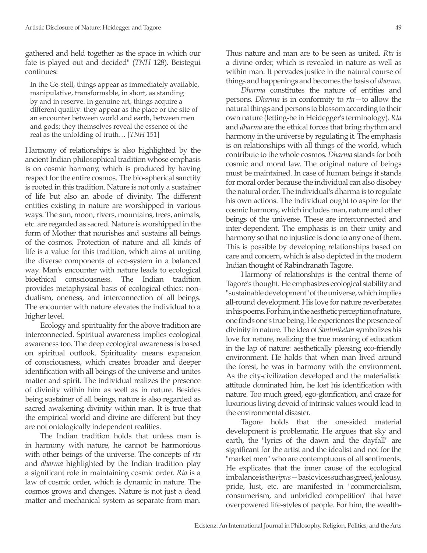gathered and held together as the space in which our fate is played out and decided" (*TNH* 128). Beistegui continues:

In the Ge-stell, things appear as immediately available, manipulative, transformable, in short, as standing by and in reserve. In genuine art, things acquire a different quality: they appear as the place or the site of an encounter between world and earth, between men and gods; they themselves reveal the essence of the real as the unfolding of truth… [*TNH* 151]

Harmony of relationships is also highlighted by the ancient Indian philosophical tradition whose emphasis is on cosmic harmony, which is produced by having respect for the entire cosmos. The bio-spherical sanctity is rooted in this tradition. Nature is not only a sustainer of life but also an abode of divinity. The different entities existing in nature are worshipped in various ways. The sun, moon, rivers, mountains, trees, animals, etc. are regarded as sacred. Nature is worshipped in the form of Mother that nourishes and sustains all beings of the cosmos. Protection of nature and all kinds of life is a value for this tradition, which aims at uniting the diverse components of eco-system in a balanced way. Man's encounter with nature leads to ecological bioethical consciousness. The Indian tradition provides metaphysical basis of ecological ethics: nondualism, oneness, and interconnection of all beings. The encounter with nature elevates the individual to a higher level.

Ecology and spirituality for the above tradition are interconnected. Spiritual awareness implies ecological awareness too. The deep ecological awareness is based on spiritual outlook. Spirituality means expansion of consciousness, which creates broader and deeper identification with all beings of the universe and unites matter and spirit. The individual realizes the presence of divinity within him as well as in nature. Besides being sustainer of all beings, nature is also regarded as sacred awakening divinity within man. It is true that the empirical world and divine are different but they are not ontologically independent realities.

The Indian tradition holds that unless man is in harmony with nature, he cannot be harmonious with other beings of the universe. The concepts of *rta* and *dharma* highlighted by the Indian tradition play a significant role in maintaining cosmic order. *Rta* is a law of cosmic order, which is dynamic in nature. The cosmos grows and changes. Nature is not just a dead matter and mechanical system as separate from man. Thus nature and man are to be seen as united. *Rta* is a divine order, which is revealed in nature as well as within man. It pervades justice in the natural course of things and happenings and becomes the basis of *dharma*.

*Dharma* constitutes the nature of entities and persons. *Dharma* is in conformity to *rta*—to allow the natural things and persons to blossom according to their own nature (letting-be in Heidegger's terminology). *Rta*  and *dharma* are the ethical forces that bring rhythm and harmony in the universe by regulating it. The emphasis is on relationships with all things of the world, which contribute to the whole cosmos. *Dharma* stands for both cosmic and moral law. The original nature of beings must be maintained. In case of human beings it stands for moral order because the individual can also disobey the natural order. The individual's dharma is to regulate his own actions. The individual ought to aspire for the cosmic harmony, which includes man, nature and other beings of the universe. These are interconnected and inter-dependent. The emphasis is on their unity and harmony so that no injustice is done to any one of them. This is possible by developing relationships based on care and concern, which is also depicted in the modern Indian thought of Rabindranath Tagore.

Harmony of relationships is the central theme of Tagore's thought. He emphasizes ecological stability and "sustainable development" of the universe, which implies all-round development. His love for nature reverberates in his poems. For him, in the aesthetic perception of nature, one finds one's true being. He experiences the presence of divinity in nature. The idea of *Śantiniketan* symbolizes his love for nature, realizing the true meaning of education in the lap of nature: aesthetically pleasing eco-friendly environment. He holds that when man lived around the forest, he was in harmony with the environment. As the city-civilization developed and the materialistic attitude dominated him, he lost his identification with nature. Too much greed, ego-glorification, and craze for luxurious living devoid of intrinsic values would lead to the environmental disaster.

Tagore holds that the one-sided material development is problematic. He argues that sky and earth, the "lyrics of the dawn and the dayfall" are significant for the artist and the idealist and not for the "market men" who are contemptuous of all sentiments. He explicates that the inner cause of the ecological imbalance is the *ripus*—basic vices such as greed, jealousy, pride, lust, etc. are manifested in "commercialism, consumerism, and unbridled competition" that have overpowered life-styles of people. For him, the wealth-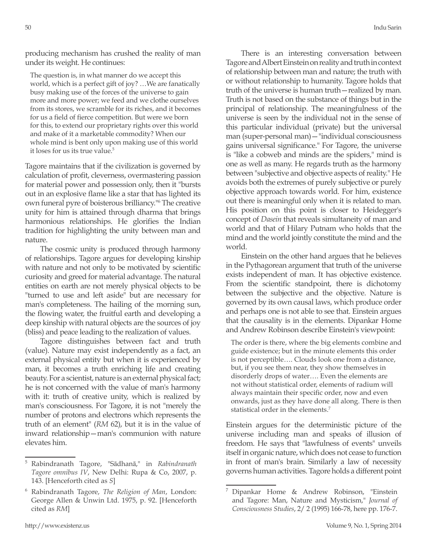producing mechanism has crushed the reality of man under its weight. He continues:

The question is, in what manner do we accept this world, which is a perfect gift of joy? …We are fanatically busy making use of the forces of the universe to gain more and more power; we feed and we clothe ourselves from its stores, we scramble for its riches, and it becomes for us a field of fierce competition. But were we born for this, to extend our proprietary rights over this world and make of it a marketable commodity? When our whole mind is bent only upon making use of this world it loses for us its true value.<sup>5</sup>

Tagore maintains that if the civilization is governed by calculation of profit, cleverness, overmastering passion for material power and possession only, then it "bursts out in an explosive flame like a star that has lighted its own funeral pyre of boisterous brilliancy."<sup>6</sup> The creative unity for him is attained through dharma that brings harmonious relationships. He glorifies the Indian tradition for highlighting the unity between man and nature.

The cosmic unity is produced through harmony of relationships. Tagore argues for developing kinship with nature and not only to be motivated by scientific curiosity and greed for material advantage. The natural entities on earth are not merely physical objects to be "turned to use and left aside" but are necessary for man's completeness. The hailing of the morning sun, the flowing water, the fruitful earth and developing a deep kinship with natural objects are the sources of joy (bliss) and peace leading to the realization of values.

Tagore distinguishes between fact and truth (value). Nature may exist independently as a fact, an external physical entity but when it is experienced by man, it becomes a truth enriching life and creating beauty. For a scientist, nature is an external physical fact; he is not concerned with the value of man's harmony with it: truth of creative unity, which is realized by man's consciousness. For Tagore, it is not "merely the number of protons and electrons which represents the truth of an element" (*RM* 62), but it is in the value of inward relationship—man's communion with nature elevates him.

There is an interesting conversation between Tagore and Albert Einstein on reality and truth in context of relationship between man and nature; the truth with or without relationship to humanity. Tagore holds that truth of the universe is human truth—realized by man. Truth is not based on the substance of things but in the principal of relationship. The meaningfulness of the universe is seen by the individual not in the sense of this particular individual (private) but the universal man (super-personal man)—"individual consciousness gains universal significance." For Tagore, the universe is "like a cobweb and minds are the spiders," mind is one as well as many. He regards truth as the harmony between "subjective and objective aspects of reality." He avoids both the extremes of purely subjective or purely objective approach towards world. For him, existence out there is meaningful only when it is related to man. His position on this point is closer to Heidegger's concept of *Dasein* that reveals simultaneity of man and world and that of Hilary Putnam who holds that the mind and the world jointly constitute the mind and the world.

Einstein on the other hand argues that he believes in the Pythagorean argument that truth of the universe exists independent of man. It has objective existence. From the scientific standpoint, there is dichotomy between the subjective and the objective. Nature is governed by its own causal laws, which produce order and perhaps one is not able to see that. Einstein argues that the causality is in the elements. Dipankar Home and Andrew Robinson describe Einstein's viewpoint:

The order is there, where the big elements combine and guide existence; but in the minute elements this order is not perceptible…. Clouds look one from a distance, but, if you see them near, they show themselves in disorderly drops of water…. Even the elements are not without statistical order, elements of radium will always maintain their specific order, now and even onwards, just as they have done all along. There is then statistical order in the elements.7

Einstein argues for the deterministic picture of the universe including man and speaks of illusion of freedom. He says that "lawfulness of events" unveils itself in organic nature, which does not cease to function in front of man's brain. Similarly a law of necessity governs human activities. Tagore holds a different point

<sup>5</sup> Rabindranath Tagore, "Sādhanā," in *Rabindranath Tagore omnibus IV*, New Delhi: Rupa & Co, 2007, p. 143. [Henceforth cited as *S*]

<sup>6</sup> Rabindranath Tagore, *The Religion of Man*, London: George Allen & Unwin Ltd. 1975, p. 92. [Henceforth cited as *RM*]

<sup>7</sup> Dipankar Home & Andrew Robinson, "Einstein and Tagore: Man, Nature and Mysticism," *Journal of Consciousness Studies*, 2/ 2 (1995) 166-78, here pp. 176-7.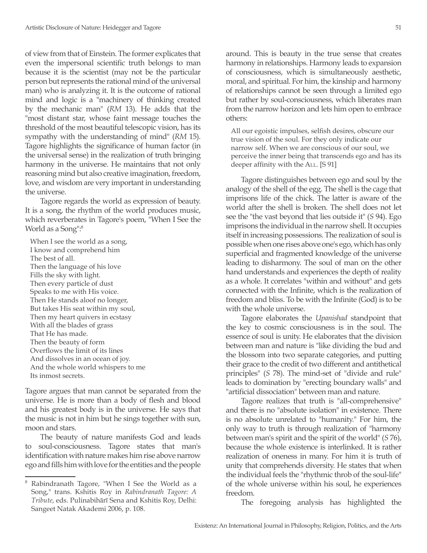of view from that of Einstein. The former explicates that even the impersonal scientific truth belongs to man because it is the scientist (may not be the particular person but represents the rational mind of the universal man) who is analyzing it. It is the outcome of rational mind and logic is a "machinery of thinking created by the mechanic man" (*RM* 13). He adds that the "most distant star, whose faint message touches the threshold of the most beautiful telescopic vision, has its sympathy with the understanding of mind" (*RM* 15). Tagore highlights the significance of human factor (in the universal sense) in the realization of truth bringing harmony in the universe. He maintains that not only reasoning mind but also creative imagination, freedom, love, and wisdom are very important in understanding the universe.

Tagore regards the world as expression of beauty. It is a song, the rhythm of the world produces music, which reverberates in Tagore's poem, "When I See the World as a Song":<sup>8</sup>

When I see the world as a song, I know and comprehend him The best of all. Then the language of his love Fills the sky with light. Then every particle of dust Speaks to me with His voice. Then He stands aloof no longer, But takes His seat within my soul, Then my heart quivers in ecstasy With all the blades of grass That He has made. Then the beauty of form Overflows the limit of its lines And dissolves in an ocean of joy. And the whole world whispers to me Its inmost secrets.

Tagore argues that man cannot be separated from the universe. He is more than a body of flesh and blood and his greatest body is in the universe. He says that the music is not in him but he sings together with sun, moon and stars.

The beauty of nature manifests God and leads to soul-consciousness. Tagore states that man's identification with nature makes him rise above narrow ego and fills him with love for the entities and the people around. This is beauty in the true sense that creates harmony in relationships. Harmony leads to expansion of consciousness, which is simultaneously aesthetic, moral, and spiritual. For him, the kinship and harmony of relationships cannot be seen through a limited ego but rather by soul-consciousness, which liberates man from the narrow horizon and lets him open to embrace others:

All our egoistic impulses, selfish desires, obscure our true vision of the soul. For they only indicate our narrow self. When we are conscious of our soul, we perceive the inner being that transcends ego and has its deeper affinity with the All. [S 91]

Tagore distinguishes between ego and soul by the analogy of the shell of the egg. The shell is the cage that imprisons life of the chick. The latter is aware of the world after the shell is broken. The shell does not let see the "the vast beyond that lies outside it" (*S* 94). Ego imprisons the individual in the narrow shell. It occupies itself in increasing possessions. The realization of soul is possible when one rises above one's ego, which has only superficial and fragmented knowledge of the universe leading to disharmony. The soul of man on the other hand understands and experiences the depth of reality as a whole. It correlates "within and without" and gets connected with the Infinite, which is the realization of freedom and bliss. To be with the Infinite (God) is to be with the whole universe.

Tagore elaborates the *Upanishad* standpoint that the key to cosmic consciousness is in the soul. The essence of soul is unity. He elaborates that the division between man and nature is "like dividing the bud and the blossom into two separate categories, and putting their grace to the credit of two different and antithetical principles" (*S* 78). The mind-set of "divide and rule" leads to domination by "erecting boundary walls" and "artificial dissociation" between man and nature.

Tagore realizes that truth is "all-comprehensive" and there is no "absolute isolation" in existence. There is no absolute unrelated to "humanity." For him, the only way to truth is through realization of "harmony between man's spirit and the spirit of the world" (*S* 76), because the whole existence is interlinked. It is rather realization of oneness in many. For him it is truth of unity that comprehends diversity. He states that when the individual feels the "rhythmic throb of the soul-life" of the whole universe within his soul, he experiences freedom.

The foregoing analysis has highlighted the

Rabindranath Tagore, "When I See the World as a Song," trans. Kshitis Roy in *Rabindranath Tagore: A Tribute*, eds. Pulinabihārī Sena and Kshitis Roy, Delhi: Sangeet Natak Akademi 2006, p. 108.